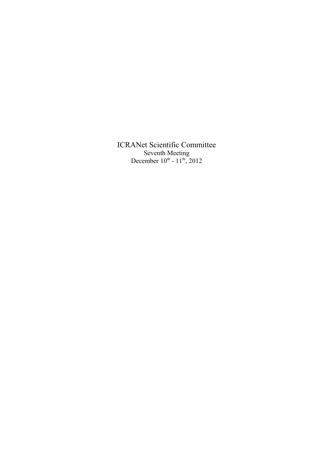ICRANet Scientific Committee Seventh Meeting December  $10^{th}$  -  $11^{th}$ , 2012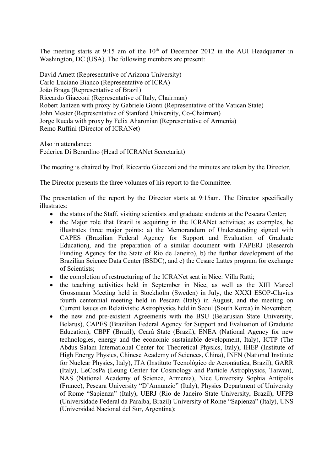The meeting starts at  $9:15$  am of the  $10<sup>th</sup>$  of December 2012 in the AUI Headquarter in Washington, DC (USA). The following members are present:

David Arnett (Representative of Arizona University) Carlo Luciano Bianco (Representative of ICRA) João Braga (Representative of Brazil) Riccardo Giacconi (Representative of Italy, Chairman) Robert Jantzen with proxy by Gabriele Gionti (Representative of the Vatican State) John Mester (Representative of Stanford University, Co-Chairman) Jorge Rueda with proxy by Felix Aharonian (Representative of Armenia) Remo Ruffini (Director of ICRANet)

Also in attendance: Federica Di Berardino (Head of ICRANet Secretariat)

The meeting is chaired by Prof. Riccardo Giacconi and the minutes are taken by the Director.

The Director presents the three volumes of his report to the Committee.

The presentation of the report by the Director starts at 9:15am. The Director specifically illustrates:

- the status of the Staff, visiting scientists and graduate students at the Pescara Center;
- the Major role that Brazil is acquiring in the ICRANet activities; as examples, he illustrates three major points: a) the Memorandum of Understanding signed with CAPES (Brazilian Federal Agency for Support and Evaluation of Graduate Education), and the preparation of a similar document with FAPERJ (Research Funding Agency for the State of Rio de Janeiro), b) the further development of the Brazilian Science Data Center (BSDC), and c) the Cesare Lattes program for exchange of Scientists;
- the completion of restructuring of the ICRANet seat in Nice: Villa Ratti;
- the teaching activities held in September in Nice, as well as the XIII Marcel Grossmann Meeting held in Stockholm (Sweden) in July, the XXXI ESOP-Clavius fourth centennial meeting held in Pescara (Italy) in August, and the meeting on Current Issues on Relativistic Astrophysics held in Seoul (South Korea) in November;
- the new and pre-existent Agreements with the BSU (Belarusian State University, Belarus), CAPES (Brazilian Federal Agency for Support and Evaluation of Graduate Education), CBPF (Brazil), Cearà State (Brazil), ENEA (National Agency for new technologies, energy and the economic sustainable development, Italy), ICTP (The Abdus Salam International Center for Theoretical Physics, Italy), IHEP (Institute of High Energy Physics, Chinese Academy of Sciences, China), INFN (National Institute for Nuclear Physics, Italy), ITA (Instituto Tecnológico de Aeronáutica, Brazil), GARR (Italy), LeCosPa (Leung Center for Cosmology and Particle Astrophysics, Taiwan), NAS (National Academy of Science, Armenia), Nice University Sophia Antipolis (France), Pescara University "D'Annunzio" (Italy), Physics Department of University of Rome "Sapienza" (Italy), UERJ (Rio de Janeiro State University, Brazil), UFPB (Universidade Federal da Paraíba, Brazil) University of Rome "Sapienza" (Italy), UNS (Universidad Nacional del Sur, Argentina);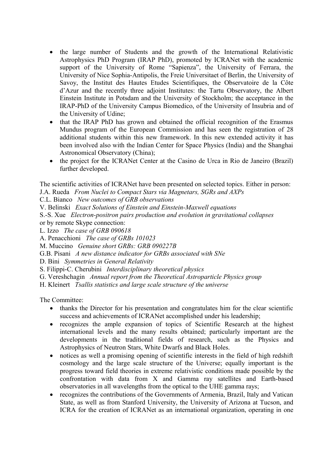- the large number of Students and the growth of the International Relativistic Astrophysics PhD Program (IRAP PhD), promoted by ICRANet with the academic support of the University of Rome "Sapienza", the University of Ferrara, the University of Nice Sophia-Antipolis, the Freie Universitaet of Berlin, the University of Savoy, the Institut des Hautes Etudes Scientifiques, the Observatoire de la Côte d'Azur and the recently three adjoint Institutes: the Tartu Observatory, the Albert Einstein Institute in Potsdam and the University of Stockholm; the acceptance in the IRAP-PhD of the University Campus Biomedico, of the University of Insubria and of the University of Udine;
- that the IRAP PhD has grown and obtained the official recognition of the Erasmus Mundus program of the European Commission and has seen the registration of 28 additional students within this new framework. In this new extended activity it has been involved also with the Indian Center for Space Physics (India) and the Shanghai Astronomical Observatory (China);
- the project for the ICRANet Center at the Casino de Urca in Rio de Janeiro (Brazil) further developed.

The scientific activities of ICRANet have been presented on selected topics. Either in person:

J.A. Rueda *From Nuclei to Compact Stars via Magnetars, SGRs and AXPs*

C.L. Bianco *New outcomes of GRB observations*

V. Belinski *Exact Solutions of Einstein and Einstein-Maxwell equations*

S.-S. Xue *Electron-positron pairs production and evolution in gravitational collapses*

or by remote Skype connection:

L. Izzo *The case of GRB 090618*

A. Penacchioni *The case of GRBs 101023*

M. Muccino *Genuine short GRBs: GRB 090227B*

G.B. Pisani *A new distance indicator for GRBs associated with SNe*

D. Bini *Symmetries in General Relativity*

S. Filippi-C. Cherubini *Interdisciplinary theoretical physics*

G. Vereshchagin *Annual report from the Theoretical Astroparticle Physics group*

H. Kleinert *Tsallis statistics and large scale structure of the universe*

The Committee:

- thanks the Director for his presentation and congratulates him for the clear scientific success and achievements of ICRANet accomplished under his leadership;
- recognizes the ample expansion of topics of Scientific Research at the highest international levels and the many results obtained; particularly important are the developments in the traditional fields of research, such as the Physics and Astrophysics of Neutron Stars, White Dwarfs and Black Holes.
- notices as well a promising opening of scientific interests in the field of high redshift cosmology and the large scale structure of the Universe; equally important is the progress toward field theories in extreme relativistic conditions made possible by the confrontation with data from X and Gamma ray satellites and Earth-based observatories in all wavelengths from the optical to the UHE gamma rays;
- recognizes the contributions of the Governments of Armenia, Brazil, Italy and Vatican State, as well as from Stanford University, the University of Arizona at Tucson, and ICRA for the creation of ICRANet as an international organization, operating in one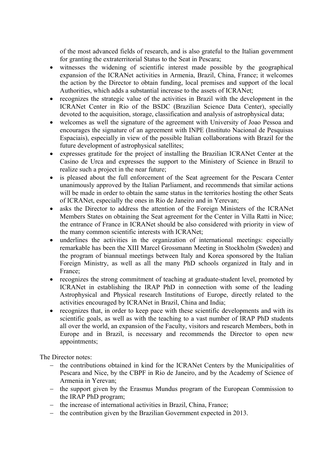of the most advanced fields of research, and is also grateful to the Italian government for granting the extraterritorial Status to the Seat in Pescara;

- witnesses the widening of scientific interest made possible by the geographical expansion of the ICRANet activities in Armenia, Brazil, China, France; it welcomes the action by the Director to obtain funding, local premises and support of the local Authorities, which adds a substantial increase to the assets of ICRANet;
- recognizes the strategic value of the activities in Brazil with the development in the ICRANet Center in Rio of the BSDC (Brazilian Science Data Center), specially devoted to the acquisition, storage, classification and analysis of astrophysical data;
- welcomes as well the signature of the agreement with University of Joao Pessoa and encourages the signature of an agreement with INPE (Instituto Nacional de Pesquisas Espaciais), especially in view of the possible Italian collaborations with Brazil for the future development of astrophysical satellites;
- expresses gratitude for the project of installing the Brazilian ICRANet Center at the Casino de Urca and expresses the support to the Ministery of Science in Brazil to realize such a project in the near future;
- is pleased about the full enforcement of the Seat agreement for the Pescara Center unanimously approved by the Italian Parliament, and recommends that similar actions will be made in order to obtain the same status in the territories hosting the other Seats of ICRANet, especially the ones in Rio de Janeiro and in Yerevan;
- asks the Director to address the attention of the Foreign Ministers of the ICRANet Members States on obtaining the Seat agreement for the Center in Villa Ratti in Nice; the entrance of France in ICRANet should be also considered with priority in view of the many common scientific interests with ICRANet;
- underlines the activities in the organization of international meetings: especially remarkable has been the XIII Marcel Grossmann Meeting in Stockholm (Sweden) and the program of biannual meetings between Italy and Korea sponsored by the Italian Foreign Ministry, as well as all the many PhD schools organized in Italy and in France;
- recognizes the strong commitment of teaching at graduate-student level, promoted by ICRANet in establishing the IRAP PhD in connection with some of the leading Astrophysical and Physical research Institutions of Europe, directly related to the activities encouraged by ICRANet in Brazil, China and India;
- recognizes that, in order to keep pace with these scientific developments and with its scientific goals, as well as with the teaching to a vast number of IRAP PhD students all over the world, an expansion of the Faculty, visitors and research Members, both in Europe and in Brazil, is necessary and recommends the Director to open new appointments;

The Director notes:

- the contributions obtained in kind for the ICRANet Centers by the Municipalities of Pescara and Nice, by the CBPF in Rio de Janeiro, and by the Academy of Science of Armenia in Yerevan;
- the support given by the Erasmus Mundus program of the European Commission to the IRAP PhD program;
- $\hbox{I}$  the increase of international activities in Brazil, China, France;
- $\hbox{I}$  the contribution given by the Brazilian Government expected in 2013.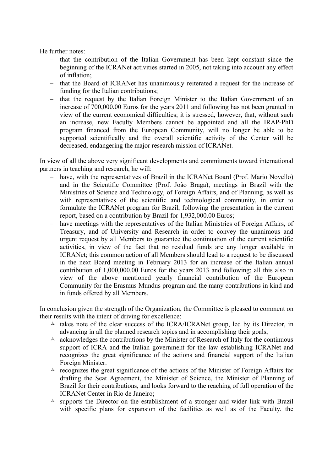He further notes:

- $-$  that the contribution of the Italian Government has been kept constant since the beginning of the ICRANet activities started in 2005, not taking into account any effect of inflation;
- that the Board of ICRANet has unanimously reiterated a request for the increase of funding for the Italian contributions;
- that the request by the Italian Foreign Minister to the Italian Government of an increase of 700,000.00 Euros for the years 2011 and following has not been granted in view of the current economical difficulties; it is stressed, however, that, without such an increase, new Faculty Members cannot be appointed and all the IRAP-PhD program financed from the European Community, will no longer be able to be supported scientifically and the overall scientific activity of the Center will be decreased, endangering the major research mission of ICRANet.

In view of all the above very significant developments and commitments toward international partners in teaching and research, he will:

- have, with the representatives of Brazil in the ICRANet Board (Prof. Mario Novello) and in the Scientific Committee (Prof. João Braga), meetings in Brazil with the Ministries of Science and Technology, of Foreign Affairs, and of Planning, as well as with representatives of the scientific and technological community, in order to formulate the ICRANet program for Brazil, following the presentation in the current report, based on a contribution by Brazil for 1,932,000.00 Euros;
- have meetings with the representatives of the Italian Ministries of Foreign Affairs, of Treasury, and of University and Research in order to convey the unanimous and urgent request by all Members to guarantee the continuation of the current scientific activities, in view of the fact that no residual funds are any longer available in ICRANet; this common action of all Members should lead to a request to be discussed in the next Board meeting in February 2013 for an increase of the Italian annual contribution of 1,000,000.00 Euros for the years 2013 and following; all this also in view of the above mentioned yearly financial contribution of the European Community for the Erasmus Mundus program and the many contributions in kind and in funds offered by all Members.

In conclusion given the strength of the Organization, the Committee is pleased to comment on their results with the intent of driving for excellence:

- $\triangle$  takes note of the clear success of the ICRA/ICRANet group, led by its Director, in advancing in all the planned research topics and in accomplishing their goals,
- $\triangle$  acknowledges the contributions by the Minister of Research of Italy for the continuous support of ICRA and the Italian government for the law establishing ICRANet and recognizes the great significance of the actions and financial support of the Italian Foreign Minister.
- $\triangle$  recognizes the great significance of the actions of the Minister of Foreign Affairs for drafting the Seat Agreement, the Minister of Science, the Minister of Planning of Brazil for their contributions, and looks forward to the reaching of full operation of the ICRANet Center in Rio de Janeiro;
- $\triangle$  supports the Director on the establishment of a stronger and wider link with Brazil with specific plans for expansion of the facilities as well as of the Faculty, the